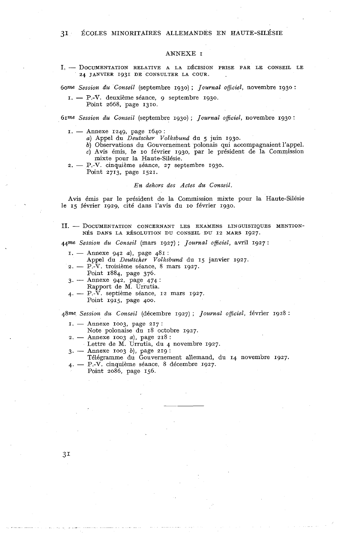## ANNEXE I

**1.** - DOCUMENTATION RELATIVE A LA DÉCISION PRISE PAR LE CONSEIL LE 24 JANVIER 1931 DE CONSULTER LA COUR.

6om *Session du Conseil* (septembre 1930) ; *Journal officiel,* novembre 1930 :

- I. P.-V. deuxième séance, 9 septembre 1930.
	- Point 2668, page 1310.

61me Session du Conseil (septembre 1930) ; *Journal officiel*, novembre 1930 :<br>
1. — Annexe 1249, page 1640 :<br>
<sup>2</sup>. Annel du *Deutscher Volksbund* du 5 iuin 1030

- *a)* Appel du *Deutscher Volksbund* du 5 juin 1930.
- *b)* Observations du Gouvernement polonais qui accompagnaient l'appel.

*c)* Avis émis, le IO février 1930, par le président de la Commission

- mixte pour la Haute-Silésie.
- 2. P.-V. cinquième séance, 27 septembre 1930.

Point 2713, page 1521.

*En dehors des Actes du Conseil.* 

Avis émis par le président de la Commission mixte pour la Haute-Silésie le 15 février 1929, cité dans l'avis du IO février 1930.

II. - DOCUMENTATION CONCERNANT LES EXAMENS LINGUISTIQUES MENTION-NÉS DANS LA RÉSOLUTION DU CONSEIL DU 12 MARS 1927.

44me Session du Conseil (mars 1927) ; *Journal officiel*, avril 1927 :<br>
1. — Annexe 942 *a*), page 481 :<br>
Annel du Deutscher, Volksbund du 15 ianvier 1927

Appel du *Deutscher Volksbund* du 15 janvier 1927.  $\begin{array}{lll} \texttt{I.} & \texttt{~Annexe} & 942 & a), \texttt{ page } & 481: \\ & \texttt{Apple} & \texttt{du} & \texttt{Deutscher} & \texttt{Volksbund} & \texttt{du} & \texttt{122} \\ & \texttt{2.} & \texttt{~P.-V.} & \texttt{troisième séance, 8 mars 1927.} \\ & \texttt{Point } & 1884 & \texttt{page } & 276 \end{array}$ 

- Point 1884, page 376. 2. -- P.-V. troisième séance, 8 mars 1927.<br>Point 1884, page 376.<br>3. -- Annexe 942, page 474 :
- Rapport de M. Urrutia.
- 4. P.-V. septième séance, 12 mars 1927.
	- Point 1915, page 400.

48me *Session du Conseil* (décembre 1927) ; *Journal oficiel,* février 1928 :

- $I. -$  Annexe 1003, page 217: **2. 2.** Annexe 1003, page 217:<br> **2. -** Annexe 1003 *a*), page 218 :<br> **2. -** Antre de M. Urratio du 4.
- Note polonaise du 18 octobre 1927.
- 2. Annexe 1003 *a*), page 218 :<br>Lettre de M. Urrutia, du 4 i<br>3. Annexe 1003 *b*), page 219 :<br>Télégrapme du Couverneme
- Lettre de M. Urrutia, du 4 novembre 1927.<br>3. Annexe 1003 b), page 219 :
- 
- Télégramme du Gouvernement allemand, du 14 novembre 1927. 4. - P.-V. cinquième séance, 8 décembre 1927.
	- Point 2086, page 156.

 $3<sub>1</sub>$